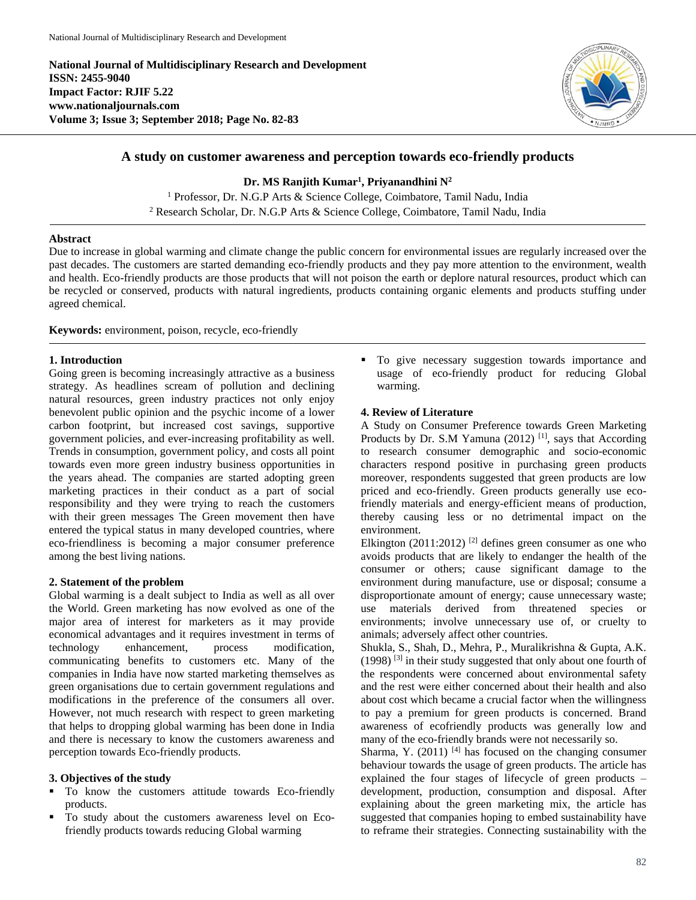**National Journal of Multidisciplinary Research and Development ISSN: 2455-9040 Impact Factor: RJIF 5.22 www.nationaljournals.com Volume 3; Issue 3; September 2018; Page No. 82-83**



# **A study on customer awareness and perception towards eco-friendly products**

**Dr. MS Ranjith Kumar<sup>1</sup> , Priyanandhini N<sup>2</sup>**

<sup>1</sup> Professor, Dr. N.G.P Arts & Science College, Coimbatore, Tamil Nadu, India <sup>2</sup> Research Scholar, Dr. N.G.P Arts & Science College, Coimbatore, Tamil Nadu, India

#### **Abstract**

Due to increase in global warming and climate change the public concern for environmental issues are regularly increased over the past decades. The customers are started demanding eco-friendly products and they pay more attention to the environment, wealth and health. Eco-friendly products are those products that will not poison the earth or deplore natural resources, product which can be recycled or conserved, products with natural ingredients, products containing organic elements and products stuffing under agreed chemical.

### **Keywords:** environment, poison, recycle, eco-friendly

#### **1. Introduction**

Going green is becoming increasingly attractive as a business strategy. As headlines scream of pollution and declining natural resources, green industry practices not only enjoy benevolent public opinion and the psychic income of a lower carbon footprint, but increased cost savings, supportive government policies, and ever-increasing profitability as well. Trends in consumption, government policy, and costs all point towards even more green industry business opportunities in the years ahead. The companies are started adopting green marketing practices in their conduct as a part of social responsibility and they were trying to reach the customers with their green messages The Green movement then have entered the typical status in many developed countries, where eco-friendliness is becoming a major consumer preference among the best living nations.

#### **2. Statement of the problem**

Global warming is a dealt subject to India as well as all over the World. Green marketing has now evolved as one of the major area of interest for marketers as it may provide economical advantages and it requires investment in terms of technology enhancement, process modification, communicating benefits to customers etc. Many of the companies in India have now started marketing themselves as green organisations due to certain government regulations and modifications in the preference of the consumers all over. However, not much research with respect to green marketing that helps to dropping global warming has been done in India and there is necessary to know the customers awareness and perception towards Eco-friendly products.

#### **3. Objectives of the study**

- To know the customers attitude towards Eco-friendly products.
- To study about the customers awareness level on Ecofriendly products towards reducing Global warming

 $\blacksquare$  To give necessary suggestion towards importance and usage of eco-friendly product for reducing Global warming.

## **4. Review of Literature**

A Study on Consumer Preference towards Green Marketing Products by Dr. S.M Yamuna (2012)<sup>[1]</sup>, says that According to research consumer demographic and socio-economic characters respond positive in purchasing green products moreover, respondents suggested that green products are low priced and eco-friendly. Green products generally use ecofriendly materials and energy-efficient means of production, thereby causing less or no detrimental impact on the environment.

Elkington (2011:2012)<sup>[2]</sup> defines green consumer as one who avoids products that are likely to endanger the health of the consumer or others; cause significant damage to the environment during manufacture, use or disposal; consume a disproportionate amount of energy; cause unnecessary waste; use materials derived from threatened species or environments; involve unnecessary use of, or cruelty to animals; adversely affect other countries.

Shukla, S., Shah, D., Mehra, P., Muralikrishna & Gupta, A.K. (1998) [3] in their study suggested that only about one fourth of the respondents were concerned about environmental safety and the rest were either concerned about their health and also about cost which became a crucial factor when the willingness to pay a premium for green products is concerned. Brand awareness of ecofriendly products was generally low and many of the eco-friendly brands were not necessarily so.

Sharma, Y. (2011)  $^{[4]}$  has focused on the changing consumer behaviour towards the usage of green products. The article has explained the four stages of lifecycle of green products – development, production, consumption and disposal. After explaining about the green marketing mix, the article has suggested that companies hoping to embed sustainability have to reframe their strategies. Connecting sustainability with the